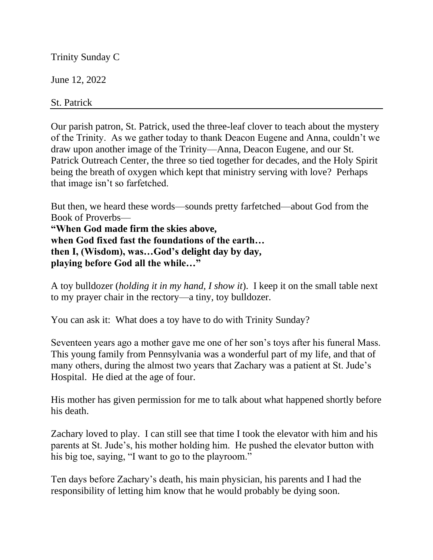Trinity Sunday C

June 12, 2022

St. Patrick

Our parish patron, St. Patrick, used the three-leaf clover to teach about the mystery of the Trinity. As we gather today to thank Deacon Eugene and Anna, couldn't we draw upon another image of the Trinity—Anna, Deacon Eugene, and our St. Patrick Outreach Center, the three so tied together for decades, and the Holy Spirit being the breath of oxygen which kept that ministry serving with love? Perhaps that image isn't so farfetched.

But then, we heard these words—sounds pretty farfetched—about God from the Book of Proverbs—

**"When God made firm the skies above, when God fixed fast the foundations of the earth… then I, (Wisdom), was…God's delight day by day, playing before God all the while…"**

A toy bulldozer (*holding it in my hand, I show it*). I keep it on the small table next to my prayer chair in the rectory—a tiny, toy bulldozer.

You can ask it: What does a toy have to do with Trinity Sunday?

Seventeen years ago a mother gave me one of her son's toys after his funeral Mass. This young family from Pennsylvania was a wonderful part of my life, and that of many others, during the almost two years that Zachary was a patient at St. Jude's Hospital. He died at the age of four.

His mother has given permission for me to talk about what happened shortly before his death.

Zachary loved to play. I can still see that time I took the elevator with him and his parents at St. Jude's, his mother holding him. He pushed the elevator button with his big toe, saying, "I want to go to the playroom."

Ten days before Zachary's death, his main physician, his parents and I had the responsibility of letting him know that he would probably be dying soon.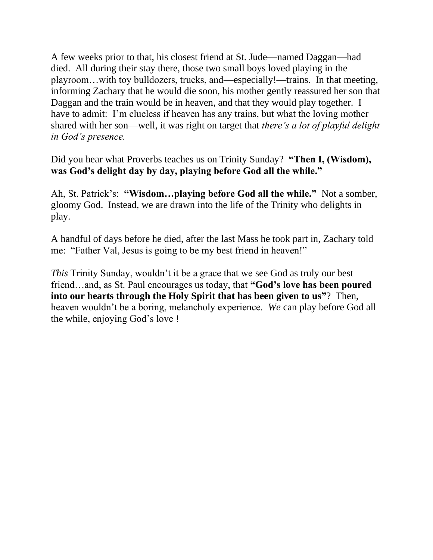A few weeks prior to that, his closest friend at St. Jude—named Daggan—had died. All during their stay there, those two small boys loved playing in the playroom…with toy bulldozers, trucks, and—especially!—trains. In that meeting, informing Zachary that he would die soon, his mother gently reassured her son that Daggan and the train would be in heaven, and that they would play together. I have to admit: I'm clueless if heaven has any trains, but what the loving mother shared with her son—well, it was right on target that *there's a lot of playful delight in God's presence.*

Did you hear what Proverbs teaches us on Trinity Sunday? **"Then I, (Wisdom), was God's delight day by day, playing before God all the while."**

Ah, St. Patrick's: **"Wisdom…playing before God all the while."** Not a somber, gloomy God. Instead, we are drawn into the life of the Trinity who delights in play.

A handful of days before he died, after the last Mass he took part in, Zachary told me: "Father Val, Jesus is going to be my best friend in heaven!"

*This* Trinity Sunday, wouldn't it be a grace that we see God as truly our best friend…and, as St. Paul encourages us today, that **"God's love has been poured into our hearts through the Holy Spirit that has been given to us"**? Then, heaven wouldn't be a boring, melancholy experience. *We* can play before God all the while, enjoying God's love !